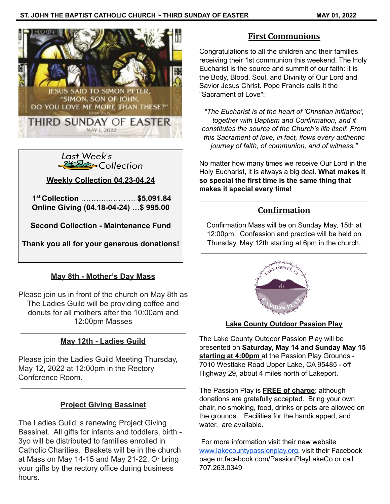



**Weekly Collection 04.23-04.24**

**1 st Collection** ………..……….. **\$5,091.84 Online Giving (04.18-04-24) …\$ 995.00**

**Second Collection - Maintenance Fund**

**Thank you all for your generous donations!**

## **May 8th - Mother's Day Mass**

Please join us in front of the church on May 8th as The Ladies Guild will be providing coffee and donuts for all mothers after the 10:00am and 12:00pm Masses

# **May 12th - Ladies Guild**

Please join the Ladies Guild Meeting Thursday, May 12, 2022 at 12:00pm in the Rectory Conference Room.

## **Project Giving Bassinet**

The Ladies Guild is renewing Project Giving Bassinet. All gifts for infants and toddlers, birth - 3yo will be distributed to families enrolled in Catholic Charities. Baskets will be in the church at Mass on May 14-15 and May 21-22. Or bring your gifts by the rectory office during business hours.

# **First Communions**

Congratulations to all the children and their families receiving their 1st communion this weekend. The Holy Eucharist is the source and summit of our faith: it is the Body, Blood, Soul, and Divinity of Our Lord and Savior Jesus Christ. Pope Francis calls it the "Sacrament of Love":

*"The Eucharist is at the heart of 'Christian initiation', together with Baptism and Confirmation, and it constitutes the source of the Church's life itself. From this Sacrament of love, in fact, flows every authentic journey of faith, of communion, and of witness."*

No matter how many times we receive Our Lord in the Holy Eucharist, it is always a big deal. **What makes it so special the first time is the same thing that makes it special every time!**

# **Confirmation**

Confirmation Mass will be on Sunday May, 15th at 12:00pm. Confession and practice will be held on Thursday, May 12th starting at 6pm in the church.



## **Lake County Outdoor Passion Play**

The Lake County Outdoor Passion Play will be presented on **Saturday, May 14 and Sunday May 15 starting at 4:00pm** at the Passion Play Grounds - 7010 Westlake Road Upper Lake, CA 95485 - off Highway 29, about 4 miles north of Lakeport.

The Passion Play is **FREE of charge**; although donations are gratefully accepted. Bring your own chair, no smoking, food, drinks or pets are allowed on the grounds. Facilities for the handicapped, and water, are available.

For more information visit their new website [www.lakecountypassionplay.org](http://www.lakecountypassionplay.org), visit their Facebook page m.facebook.com/PassionPlayLakeCo or call 707.263.0349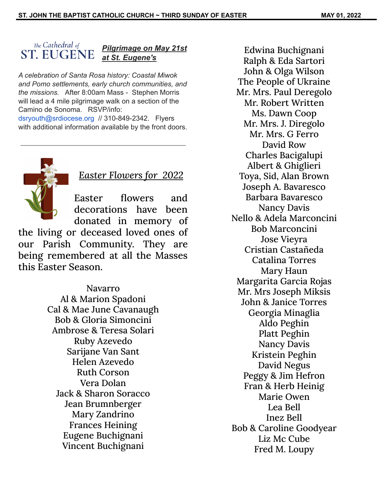#### The Cathedral of *Pilgrimage on May 21st* **ST. EUGENE** *at St. Eugene's*

*A celebration of Santa Rosa history: Coastal Miwok and Pomo settlements, early church communities, and the missions.* After 8:00am Mass - Stephen Morris will lead a 4 mile pilgrimage walk on a section of the Camino de Sonoma. RSVP/info: dsryouth@srdiocese.org // 310-849-2342. Flyers

with additional information available by the front doors.



# *Easter Flowers for 2022*

Easter flowers and decorations have been donated in memory of

the living or deceased loved ones of our Parish Community. They are being remembered at all the Masses this Easter Season.

> Navarro Al & Marion Spadoni Cal & Mae June Cavanaugh Bob & Gloria Simoncini Ambrose & Teresa Solari Ruby Azevedo Sarijane Van Sant Helen Azevedo Ruth Corson Vera Dolan Jack & Sharon Soracco Jean Brumnberger Mary Zandrino Frances Heining Eugene Buchignani Vincent Buchignani

Edwina Buchignani Ralph & Eda Sartori John & Olga Wilson The People of Ukraine Mr. Mrs. Paul Deregolo Mr. Robert Written Ms. Dawn Coop Mr. Mrs. J. Diregolo Mr. Mrs. G Ferro David Row Charles Bacigalupi Albert & Ghiglieri Toya, Sid, Alan Brown Joseph A. Bavaresco Barbara Bavaresco Nancy Davis Nello & Adela Marconcini Bob Marconcini Jose Vieyra Cristian Castañeda Catalina Torres Mary Haun Margarita Garcia Rojas Mr. Mrs Joseph Miksis John & Janice Torres Georgia Minaglia Aldo Peghin Platt Peghin Nancy Davis Kristein Peghin David Negus Peggy & Jim Hefron Fran & Herb Heinig Marie Owen Lea Bell Inez Bell Bob & Caroline Goodyear Liz Mc Cube Fred M. Loupy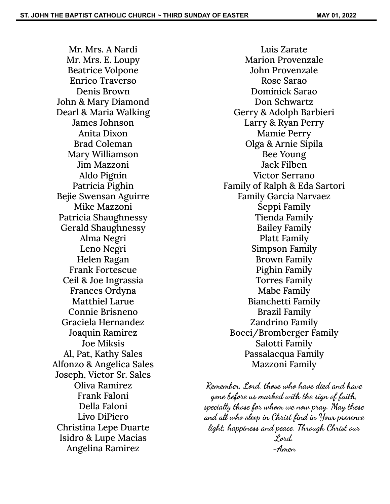Mr. Mrs. A Nardi Mr. Mrs. E. Loupy Beatrice Volpone Enrico Traverso Denis Brown John & Mary Diamond Dearl & Maria Walking James Johnson Anita Dixon Brad Coleman Mary Williamson Jim Mazzoni Aldo Pignin Patricia Pighin Bejie Swensan Aguirre Mike Mazzoni Patricia Shaughnessy Gerald Shaughnessy Alma Negri Leno Negri Helen Ragan Frank Fortescue Ceil & Joe Ingrassia Frances Ordyna Matthiel Larue Connie Brisneno Graciela Hernandez Joaquin Ramirez Joe Miksis Al, Pat, Kathy Sales Alfonzo & Angelica Sales Joseph, Victor Sr. Sales Oliva Ramirez Frank Faloni Della Faloni Livo DiPiero Christina Lepe Duarte Isidro & Lupe Macias Angelina Ramirez

Luis Zarate Marion Provenzale John Provenzale Rose Sarao Dominick Sarao Don Schwartz Gerry & Adolph Barbieri Larry & Ryan Perry Mamie Perry Olga & Arnie Sipila Bee Young Jack Filben Victor Serrano Family of Ralph & Eda Sartori Family Garcia Narvaez Seppi Family Tienda Family Bailey Family Platt Family Simpson Family Brown Family Pighin Family Torres Family Mabe Family Bianchetti Family Brazil Family Zandrino Family Bocci/Bromberger Family Salotti Family Passalacqua Family Mazzoni Family

**Remember, Lord, those who have died and have gone before us marked with the sign of faith, specially those for whom we now pray. May these and all who sleep in Christ find in Your presence light, happiness and peace. Through Christ our Lord. -Amen**